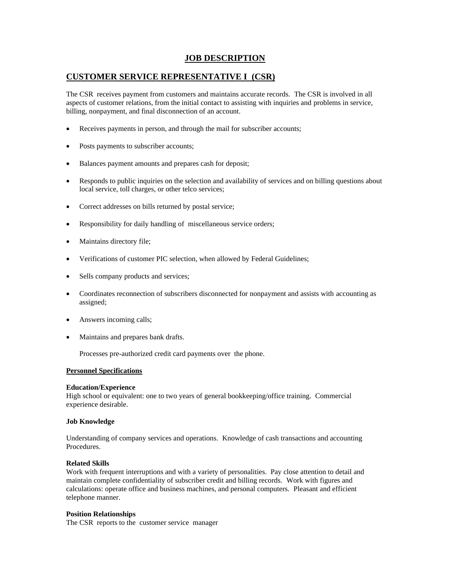# **JOB DESCRIPTION**

# **CUSTOMER SERVICE REPRESENTATIVE I (CSR)**

The CSR receives payment from customers and maintains accurate records. The CSR is involved in all aspects of customer relations, from the initial contact to assisting with inquiries and problems in service, billing, nonpayment, and final disconnection of an account.

- Receives payments in person, and through the mail for subscriber accounts;
- Posts payments to subscriber accounts;
- Balances payment amounts and prepares cash for deposit;
- Responds to public inquiries on the selection and availability of services and on billing questions about local service, toll charges, or other telco services;
- Correct addresses on bills returned by postal service;
- Responsibility for daily handling of miscellaneous service orders;
- Maintains directory file;
- Verifications of customer PIC selection, when allowed by Federal Guidelines;
- Sells company products and services;
- Coordinates reconnection of subscribers disconnected for nonpayment and assists with accounting as assigned;
- Answers incoming calls;
- Maintains and prepares bank drafts.

Processes pre-authorized credit card payments over the phone.

#### **Personnel Specifications**

#### **Education/Experience**

High school or equivalent: one to two years of general bookkeeping/office training. Commercial experience desirable.

#### **Job Knowledge**

Understanding of company services and operations. Knowledge of cash transactions and accounting Procedures.

#### **Related Skills**

Work with frequent interruptions and with a variety of personalities. Pay close attention to detail and maintain complete confidentiality of subscriber credit and billing records. Work with figures and calculations: operate office and business machines, and personal computers. Pleasant and efficient telephone manner.

#### **Position Relationships**

The CSR reports to the customer service manager